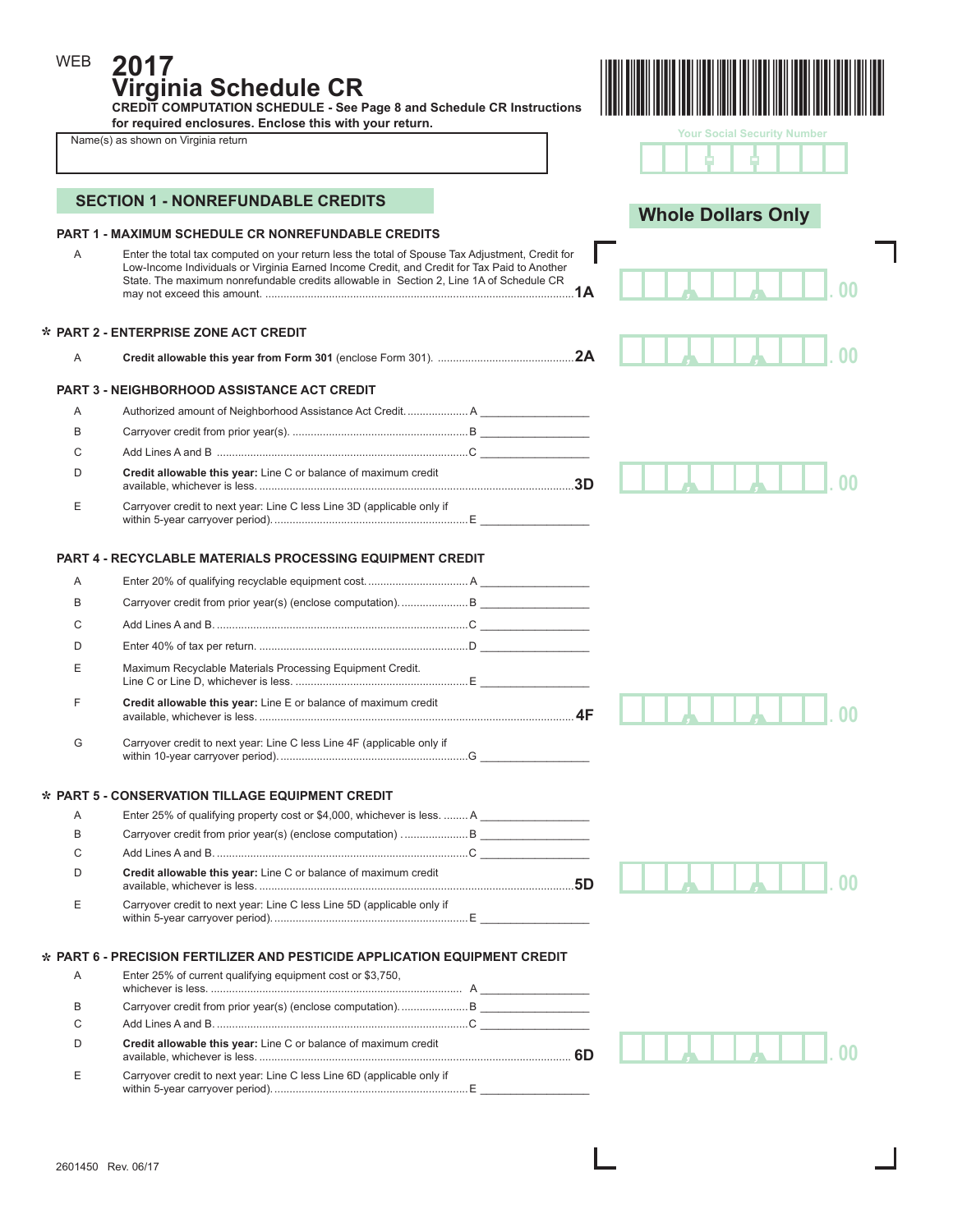**2017 Virginia Schedule CR** 

**CREDIT COMPUTATION SCHEDULE - See Page 8 and Schedule CR Instructions for required enclosures. Enclose this with your return.** 

|  | Name(s) as shown on Virginia return |  |  |  |
|--|-------------------------------------|--|--|--|
|--|-------------------------------------|--|--|--|

WEB



| <b>Your Social Security Number</b> |  |  |
|------------------------------------|--|--|
|                                    |  |  |
|                                    |  |  |

 $\mathbf{I}$ 

| <b>PART 1 - MAXIMUM SCHEDULE CR NONREFUNDABLE CREDITS</b><br>Α<br>Enter the total tax computed on your return less the total of Spouse Tax Adjustment, Credit for<br>Low-Income Individuals or Virginia Earned Income Credit, and Credit for Tax Paid to Another<br>State. The maximum nonrefundable credits allowable in Section 2, Line 1A of Schedule CR<br>* PART 2 - ENTERPRISE ZONE ACT CREDIT<br>A<br><b>PART 3 - NEIGHBORHOOD ASSISTANCE ACT CREDIT</b><br>Authorized amount of Neighborhood Assistance Act Credit A<br>A<br>B<br>С<br>Credit allowable this year: Line C or balance of maximum credit<br>D<br>Carryover credit to next year: Line C less Line 3D (applicable only if<br>Ε<br><b>PART 4 - RECYCLABLE MATERIALS PROCESSING EQUIPMENT CREDIT</b><br>A<br>B<br>С<br>D<br>Maximum Recyclable Materials Processing Equipment Credit.<br>Ε<br>Credit allowable this year: Line E or balance of maximum credit<br>F<br>G<br>Carryover credit to next year: Line C less Line 4F (applicable only if<br>* PART 5 - CONSERVATION TILLAGE EQUIPMENT CREDIT<br>Enter 25% of qualifying property cost or \$4,000, whichever is less.  A<br>A<br>B<br>С<br>Credit allowable this vear: Line C or balance of maximum credit<br>D<br>Carryover credit to next year: Line C less Line 5D (applicable only if<br>Ε<br>* PART 6 - PRECISION FERTILIZER AND PESTICIDE APPLICATION EQUIPMENT CREDIT<br>Enter 25% of current qualifying equipment cost or \$3,750,<br>A<br>B<br>C<br>Credit allowable this year: Line C or balance of maximum credit<br>D<br>Carryover credit to next year: Line C less Line 6D (applicable only if<br>Ε | <b>SECTION 1 - NONREFUNDABLE CREDITS</b> | <b>Whole Dollars Only</b> |
|--------------------------------------------------------------------------------------------------------------------------------------------------------------------------------------------------------------------------------------------------------------------------------------------------------------------------------------------------------------------------------------------------------------------------------------------------------------------------------------------------------------------------------------------------------------------------------------------------------------------------------------------------------------------------------------------------------------------------------------------------------------------------------------------------------------------------------------------------------------------------------------------------------------------------------------------------------------------------------------------------------------------------------------------------------------------------------------------------------------------------------------------------------------------------------------------------------------------------------------------------------------------------------------------------------------------------------------------------------------------------------------------------------------------------------------------------------------------------------------------------------------------------------------------------------------------------------------------------------------------------------------------|------------------------------------------|---------------------------|
|                                                                                                                                                                                                                                                                                                                                                                                                                                                                                                                                                                                                                                                                                                                                                                                                                                                                                                                                                                                                                                                                                                                                                                                                                                                                                                                                                                                                                                                                                                                                                                                                                                            |                                          |                           |
|                                                                                                                                                                                                                                                                                                                                                                                                                                                                                                                                                                                                                                                                                                                                                                                                                                                                                                                                                                                                                                                                                                                                                                                                                                                                                                                                                                                                                                                                                                                                                                                                                                            |                                          |                           |
|                                                                                                                                                                                                                                                                                                                                                                                                                                                                                                                                                                                                                                                                                                                                                                                                                                                                                                                                                                                                                                                                                                                                                                                                                                                                                                                                                                                                                                                                                                                                                                                                                                            |                                          |                           |
|                                                                                                                                                                                                                                                                                                                                                                                                                                                                                                                                                                                                                                                                                                                                                                                                                                                                                                                                                                                                                                                                                                                                                                                                                                                                                                                                                                                                                                                                                                                                                                                                                                            |                                          |                           |
|                                                                                                                                                                                                                                                                                                                                                                                                                                                                                                                                                                                                                                                                                                                                                                                                                                                                                                                                                                                                                                                                                                                                                                                                                                                                                                                                                                                                                                                                                                                                                                                                                                            |                                          |                           |
|                                                                                                                                                                                                                                                                                                                                                                                                                                                                                                                                                                                                                                                                                                                                                                                                                                                                                                                                                                                                                                                                                                                                                                                                                                                                                                                                                                                                                                                                                                                                                                                                                                            |                                          |                           |
|                                                                                                                                                                                                                                                                                                                                                                                                                                                                                                                                                                                                                                                                                                                                                                                                                                                                                                                                                                                                                                                                                                                                                                                                                                                                                                                                                                                                                                                                                                                                                                                                                                            |                                          |                           |
|                                                                                                                                                                                                                                                                                                                                                                                                                                                                                                                                                                                                                                                                                                                                                                                                                                                                                                                                                                                                                                                                                                                                                                                                                                                                                                                                                                                                                                                                                                                                                                                                                                            |                                          |                           |
|                                                                                                                                                                                                                                                                                                                                                                                                                                                                                                                                                                                                                                                                                                                                                                                                                                                                                                                                                                                                                                                                                                                                                                                                                                                                                                                                                                                                                                                                                                                                                                                                                                            |                                          |                           |
|                                                                                                                                                                                                                                                                                                                                                                                                                                                                                                                                                                                                                                                                                                                                                                                                                                                                                                                                                                                                                                                                                                                                                                                                                                                                                                                                                                                                                                                                                                                                                                                                                                            |                                          |                           |
|                                                                                                                                                                                                                                                                                                                                                                                                                                                                                                                                                                                                                                                                                                                                                                                                                                                                                                                                                                                                                                                                                                                                                                                                                                                                                                                                                                                                                                                                                                                                                                                                                                            |                                          |                           |
|                                                                                                                                                                                                                                                                                                                                                                                                                                                                                                                                                                                                                                                                                                                                                                                                                                                                                                                                                                                                                                                                                                                                                                                                                                                                                                                                                                                                                                                                                                                                                                                                                                            |                                          |                           |
|                                                                                                                                                                                                                                                                                                                                                                                                                                                                                                                                                                                                                                                                                                                                                                                                                                                                                                                                                                                                                                                                                                                                                                                                                                                                                                                                                                                                                                                                                                                                                                                                                                            |                                          |                           |
|                                                                                                                                                                                                                                                                                                                                                                                                                                                                                                                                                                                                                                                                                                                                                                                                                                                                                                                                                                                                                                                                                                                                                                                                                                                                                                                                                                                                                                                                                                                                                                                                                                            |                                          |                           |
|                                                                                                                                                                                                                                                                                                                                                                                                                                                                                                                                                                                                                                                                                                                                                                                                                                                                                                                                                                                                                                                                                                                                                                                                                                                                                                                                                                                                                                                                                                                                                                                                                                            |                                          |                           |
|                                                                                                                                                                                                                                                                                                                                                                                                                                                                                                                                                                                                                                                                                                                                                                                                                                                                                                                                                                                                                                                                                                                                                                                                                                                                                                                                                                                                                                                                                                                                                                                                                                            |                                          |                           |
|                                                                                                                                                                                                                                                                                                                                                                                                                                                                                                                                                                                                                                                                                                                                                                                                                                                                                                                                                                                                                                                                                                                                                                                                                                                                                                                                                                                                                                                                                                                                                                                                                                            |                                          |                           |
|                                                                                                                                                                                                                                                                                                                                                                                                                                                                                                                                                                                                                                                                                                                                                                                                                                                                                                                                                                                                                                                                                                                                                                                                                                                                                                                                                                                                                                                                                                                                                                                                                                            |                                          |                           |
|                                                                                                                                                                                                                                                                                                                                                                                                                                                                                                                                                                                                                                                                                                                                                                                                                                                                                                                                                                                                                                                                                                                                                                                                                                                                                                                                                                                                                                                                                                                                                                                                                                            |                                          |                           |
|                                                                                                                                                                                                                                                                                                                                                                                                                                                                                                                                                                                                                                                                                                                                                                                                                                                                                                                                                                                                                                                                                                                                                                                                                                                                                                                                                                                                                                                                                                                                                                                                                                            |                                          |                           |
|                                                                                                                                                                                                                                                                                                                                                                                                                                                                                                                                                                                                                                                                                                                                                                                                                                                                                                                                                                                                                                                                                                                                                                                                                                                                                                                                                                                                                                                                                                                                                                                                                                            |                                          |                           |
|                                                                                                                                                                                                                                                                                                                                                                                                                                                                                                                                                                                                                                                                                                                                                                                                                                                                                                                                                                                                                                                                                                                                                                                                                                                                                                                                                                                                                                                                                                                                                                                                                                            |                                          |                           |
|                                                                                                                                                                                                                                                                                                                                                                                                                                                                                                                                                                                                                                                                                                                                                                                                                                                                                                                                                                                                                                                                                                                                                                                                                                                                                                                                                                                                                                                                                                                                                                                                                                            |                                          |                           |
|                                                                                                                                                                                                                                                                                                                                                                                                                                                                                                                                                                                                                                                                                                                                                                                                                                                                                                                                                                                                                                                                                                                                                                                                                                                                                                                                                                                                                                                                                                                                                                                                                                            |                                          |                           |
|                                                                                                                                                                                                                                                                                                                                                                                                                                                                                                                                                                                                                                                                                                                                                                                                                                                                                                                                                                                                                                                                                                                                                                                                                                                                                                                                                                                                                                                                                                                                                                                                                                            |                                          |                           |
|                                                                                                                                                                                                                                                                                                                                                                                                                                                                                                                                                                                                                                                                                                                                                                                                                                                                                                                                                                                                                                                                                                                                                                                                                                                                                                                                                                                                                                                                                                                                                                                                                                            |                                          |                           |
|                                                                                                                                                                                                                                                                                                                                                                                                                                                                                                                                                                                                                                                                                                                                                                                                                                                                                                                                                                                                                                                                                                                                                                                                                                                                                                                                                                                                                                                                                                                                                                                                                                            |                                          |                           |
|                                                                                                                                                                                                                                                                                                                                                                                                                                                                                                                                                                                                                                                                                                                                                                                                                                                                                                                                                                                                                                                                                                                                                                                                                                                                                                                                                                                                                                                                                                                                                                                                                                            |                                          |                           |
|                                                                                                                                                                                                                                                                                                                                                                                                                                                                                                                                                                                                                                                                                                                                                                                                                                                                                                                                                                                                                                                                                                                                                                                                                                                                                                                                                                                                                                                                                                                                                                                                                                            |                                          |                           |
|                                                                                                                                                                                                                                                                                                                                                                                                                                                                                                                                                                                                                                                                                                                                                                                                                                                                                                                                                                                                                                                                                                                                                                                                                                                                                                                                                                                                                                                                                                                                                                                                                                            |                                          |                           |
|                                                                                                                                                                                                                                                                                                                                                                                                                                                                                                                                                                                                                                                                                                                                                                                                                                                                                                                                                                                                                                                                                                                                                                                                                                                                                                                                                                                                                                                                                                                                                                                                                                            |                                          |                           |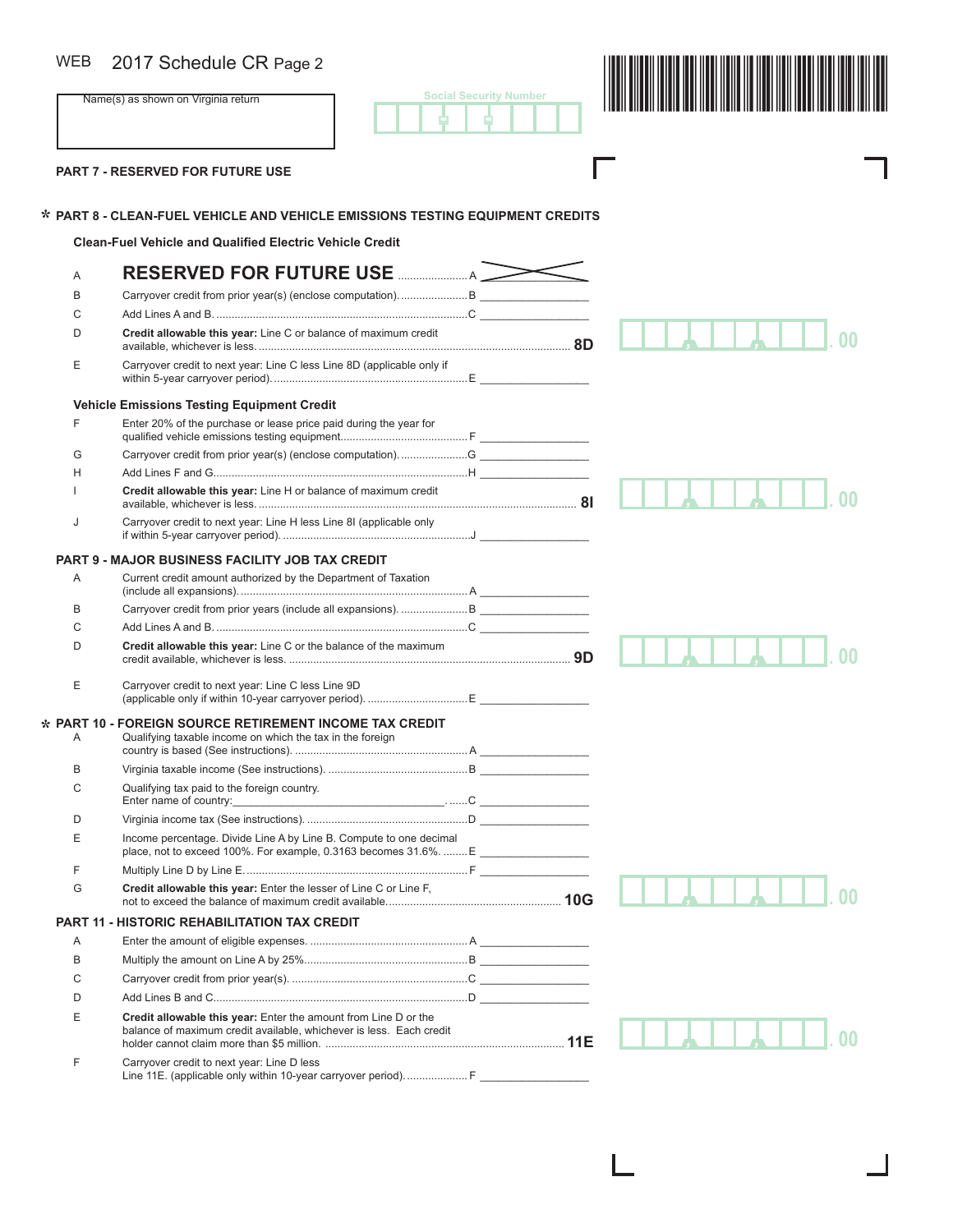### WEB

**Social Security Number** - -



I

Г

**PART 7 - RESERVED FOR FUTURE USE** 

**\***

# **PART 8 - CLEAN-FUEL VEHICLE AND VEHICLE EMISSIONS TESTING EQUIPMENT CREDITS \***

**Clean-Fuel Vehicle and Qualified Electric Vehicle Credit**

| Α                   |                                                                                                                                        |  |
|---------------------|----------------------------------------------------------------------------------------------------------------------------------------|--|
| B                   |                                                                                                                                        |  |
| C                   |                                                                                                                                        |  |
| D                   | Credit allowable this year: Line C or balance of maximum credit                                                                        |  |
| Ε                   | Carryover credit to next year: Line C less Line 8D (applicable only if                                                                 |  |
|                     | <b>Vehicle Emissions Testing Equipment Credit</b>                                                                                      |  |
| F                   | Enter 20% of the purchase or lease price paid during the year for                                                                      |  |
| G                   |                                                                                                                                        |  |
| Н                   |                                                                                                                                        |  |
|                     | Credit allowable this year: Line H or balance of maximum credit                                                                        |  |
| J                   | Carryover credit to next year: Line H less Line 8I (applicable only                                                                    |  |
|                     | <b>PART 9 - MAJOR BUSINESS FACILITY JOB TAX CREDIT</b>                                                                                 |  |
| A                   | Current credit amount authorized by the Department of Taxation                                                                         |  |
| B                   |                                                                                                                                        |  |
| C                   |                                                                                                                                        |  |
| D                   | Credit allowable this year: Line C or the balance of the maximum                                                                       |  |
| Е                   | Carryover credit to next year: Line C less Line 9D                                                                                     |  |
| <b>PART 10</b><br>Α | <b>FOREIGN SOURCE RETIREMENT INCOME TAX CREDIT</b><br>Qualifying taxable income on which the tax in the foreign                        |  |
| B                   |                                                                                                                                        |  |
| C                   | Qualifying tax paid to the foreign country.                                                                                            |  |
| D                   |                                                                                                                                        |  |
| Ε                   | Income percentage. Divide Line A by Line B. Compute to one decimal                                                                     |  |
| F                   |                                                                                                                                        |  |
| G                   | Credit allowable this year: Enter the lesser of Line C or Line F,                                                                      |  |
| <b>PART 11</b>      | - HISTORIC REHABILITATION TAX CREDIT                                                                                                   |  |
| A                   |                                                                                                                                        |  |
| B                   |                                                                                                                                        |  |
| C                   |                                                                                                                                        |  |
| D                   |                                                                                                                                        |  |
| Е                   | Credit allowable this year: Enter the amount from Line D or the<br>balance of maximum credit available, whichever is less. Each credit |  |
| F                   | Carryover credit to next year: Line D less<br>Line 11E. (applicable only within 10-year carryover period).  F                          |  |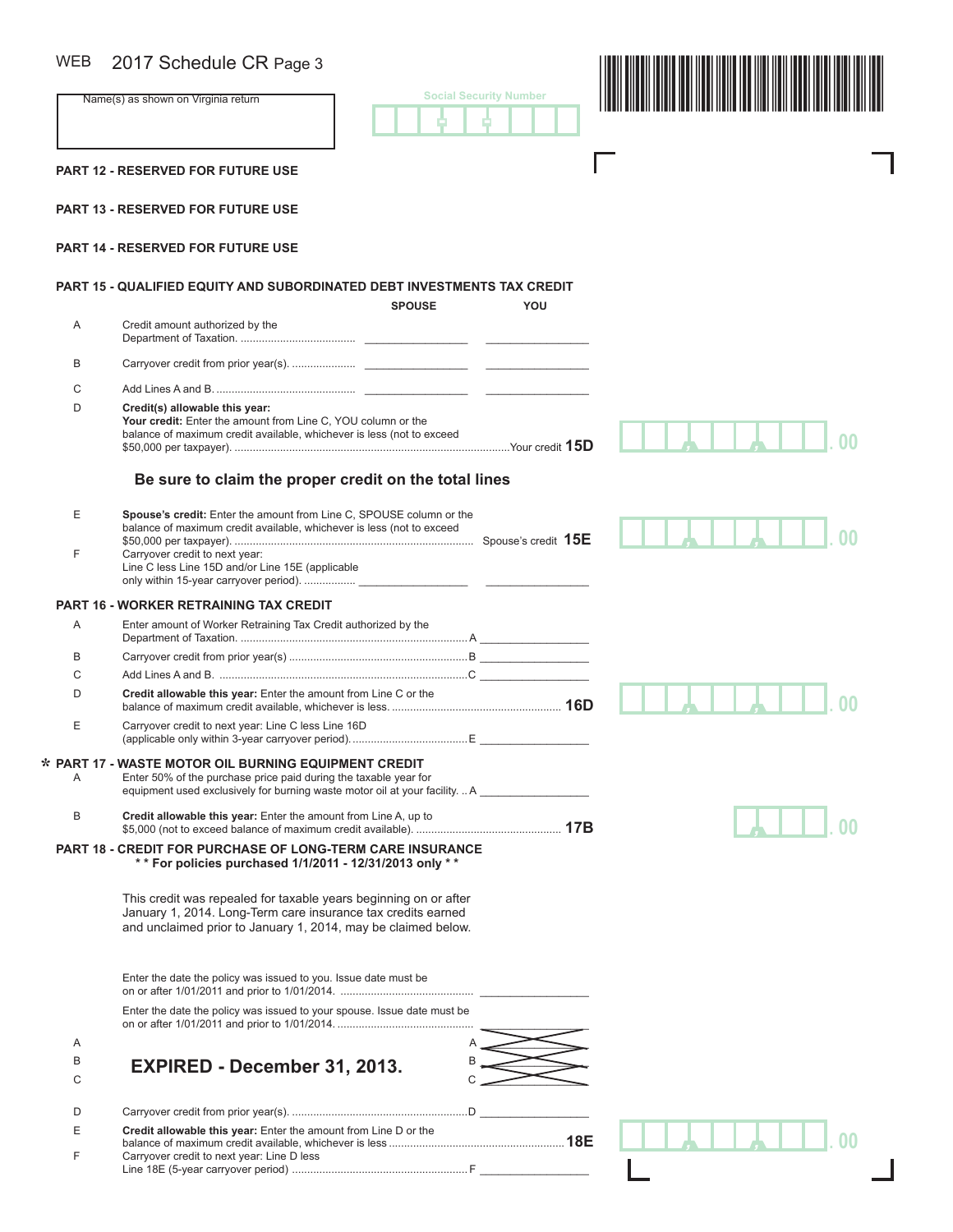## $\cdots$

| <b>WEB</b> | 2017 Schedule CR Page 3                                                                                                                                                                                 |                               |
|------------|---------------------------------------------------------------------------------------------------------------------------------------------------------------------------------------------------------|-------------------------------|
|            | Name(s) as shown on Virginia return                                                                                                                                                                     | <b>Social Security Number</b> |
|            | <b>PART 12 - RESERVED FOR FUTURE USE</b>                                                                                                                                                                |                               |
|            | <b>PART 13 - RESERVED FOR FUTURE USE</b>                                                                                                                                                                |                               |
|            | <b>PART 14 - RESERVED FOR FUTURE USE</b>                                                                                                                                                                |                               |
|            | PART 15 - QUALIFIED EQUITY AND SUBORDINATED DEBT INVESTMENTS TAX CREDIT<br><b>SPOUSE</b>                                                                                                                | YOU                           |
| Α          | Credit amount authorized by the                                                                                                                                                                         |                               |
| B          |                                                                                                                                                                                                         |                               |
| C          |                                                                                                                                                                                                         |                               |
| D          | Credit(s) allowable this year:<br>Your credit: Enter the amount from Line C, YOU column or the<br>balance of maximum credit available, whichever is less (not to exceed                                 |                               |
|            | Be sure to claim the proper credit on the total lines                                                                                                                                                   |                               |
| Е<br>F     | Spouse's credit: Enter the amount from Line C, SPOUSE column or the<br>balance of maximum credit available, whichever is less (not to exceed<br>Carryover credit to next year:                          |                               |
|            | Line C less Line 15D and/or Line 15E (applicable                                                                                                                                                        |                               |
|            | <b>PART 16 - WORKER RETRAINING TAX CREDIT</b>                                                                                                                                                           |                               |
| Α          | Enter amount of Worker Retraining Tax Credit authorized by the                                                                                                                                          |                               |
| В          |                                                                                                                                                                                                         |                               |
| С          |                                                                                                                                                                                                         |                               |
| D          | Credit allowable this year: Enter the amount from Line C or the                                                                                                                                         |                               |
| Ε          | Carryover credit to next year: Line C less Line 16D                                                                                                                                                     |                               |
| A          | * PART 17 - WASTE MOTOR OIL BURNING EQUIPMENT CREDIT<br>Enter 50% of the purchase price paid during the taxable year for<br>equipment used exclusively for burning waste motor oil at your facility.  A |                               |
| B          | Credit allowable this year: Enter the amount from Line A, up to                                                                                                                                         |                               |
|            | <b>PART 18 - CREDIT FOR PURCHASE OF LONG-TERM CARE INSURANCE</b><br>** For policies purchased 1/1/2011 - 12/31/2013 only **                                                                             |                               |
|            | This credit was repealed for taxable years beginning on or after<br>January 1, 2014. Long-Term care insurance tax credits earned<br>and unclaimed prior to January 1, 2014, may be claimed below.       |                               |
|            | Enter the date the policy was issued to you. Issue date must be                                                                                                                                         |                               |
|            | Enter the date the policy was issued to your spouse. Issue date must be                                                                                                                                 |                               |
| Α          |                                                                                                                                                                                                         |                               |
| В<br>С     | EXPIRED - December 31, 2013.                                                                                                                                                                            |                               |
| D          |                                                                                                                                                                                                         |                               |
| Е          | Credit allowable this year: Enter the amount from Line D or the                                                                                                                                         |                               |
| F          | Carryover credit to next year: Line D less                                                                                                                                                              |                               |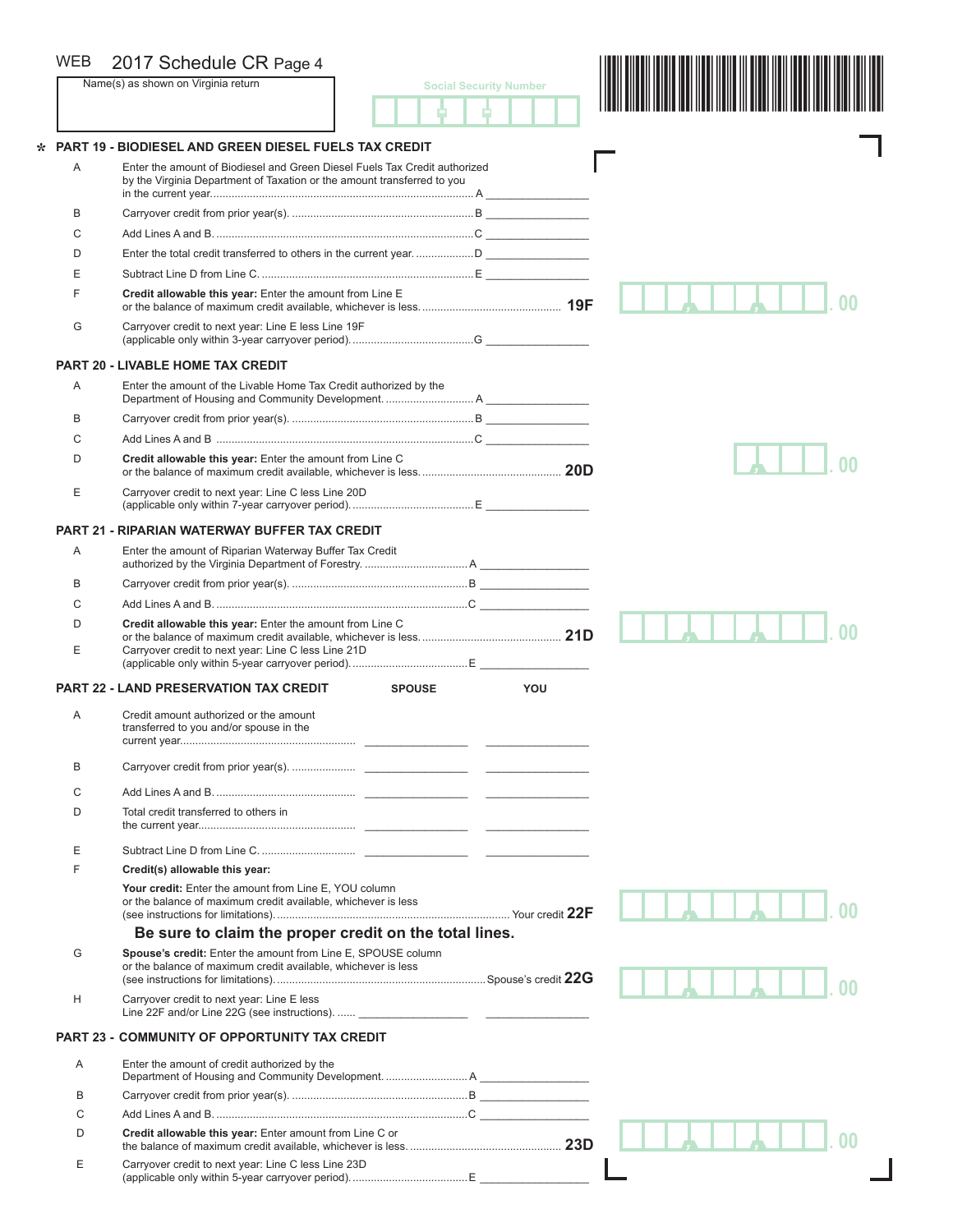| <b>WEB</b> | 2017 Schedule CR Page 4                                                                                                                               |                               |
|------------|-------------------------------------------------------------------------------------------------------------------------------------------------------|-------------------------------|
|            | Name(s) as shown on Virginia return                                                                                                                   | <b>Social Security Number</b> |
|            |                                                                                                                                                       |                               |
|            | <b>PART 19 - BIODIESEL AND GREEN DIESEL FUELS TAX CREDIT</b>                                                                                          |                               |
| Α          | Enter the amount of Biodiesel and Green Diesel Fuels Tax Credit authorized<br>by the Virginia Department of Taxation or the amount transferred to you |                               |
| B          |                                                                                                                                                       |                               |
| C          |                                                                                                                                                       |                               |
| D          |                                                                                                                                                       |                               |
| E          |                                                                                                                                                       |                               |
| F          | Credit allowable this year: Enter the amount from Line $E$                                                                                            |                               |
| G          | Carryover credit to next year: Line E less Line 19F                                                                                                   |                               |
|            | <b>PART 20 - LIVABLE HOME TAX CREDIT</b>                                                                                                              |                               |
| Α          | Enter the amount of the Livable Home Tax Credit authorized by the                                                                                     |                               |
| B          |                                                                                                                                                       |                               |
| C          |                                                                                                                                                       |                               |
| D          | Credit allowable this year: Enter the amount from Line C                                                                                              |                               |
| Ε          | Carryover credit to next year: Line C less Line 20D                                                                                                   |                               |
|            | <b>PART 21 - RIPARIAN WATERWAY BUFFER TAX CREDIT</b>                                                                                                  |                               |
| Α          | Enter the amount of Riparian Waterway Buffer Tax Credit                                                                                               |                               |
| B          |                                                                                                                                                       |                               |
| C          |                                                                                                                                                       |                               |
| D          | Credit allowable this year: Enter the amount from Line C                                                                                              |                               |
| E          | Carryover credit to next year: Line C less Line 21D                                                                                                   |                               |
|            | <b>PART 22 - LAND PRESERVATION TAX CREDIT</b><br><b>SPOUSE</b>                                                                                        | YOU                           |
| Α          | Credit amount authorized or the amount<br>transferred to you and/or spouse in the                                                                     |                               |
| B          |                                                                                                                                                       |                               |
|            |                                                                                                                                                       |                               |
| C          |                                                                                                                                                       |                               |
| D          | Total credit transferred to others in                                                                                                                 |                               |
| E          |                                                                                                                                                       |                               |
| F          | Credit(s) allowable this year:                                                                                                                        |                               |
|            | Your credit: Enter the amount from Line E, YOU column<br>or the balance of maximum credit available, whichever is less                                |                               |
|            | Be sure to claim the proper credit on the total lines.                                                                                                |                               |
| G          | Spouse's credit: Enter the amount from Line E, SPOUSE column<br>or the balance of maximum credit available, whichever is less                         |                               |
| Н          | Carryover credit to next year: Line E less                                                                                                            |                               |
|            | <b>PART 23 - COMMUNITY OF OPPORTUNITY TAX CREDIT</b>                                                                                                  |                               |
| A          | Enter the amount of credit authorized by the                                                                                                          |                               |
| B          |                                                                                                                                                       |                               |
| C          |                                                                                                                                                       |                               |
| D          | Credit allowable this year: Enter amount from Line C or                                                                                               |                               |
| Ε          | Carryover credit to next year: Line C less Line 23D                                                                                                   |                               |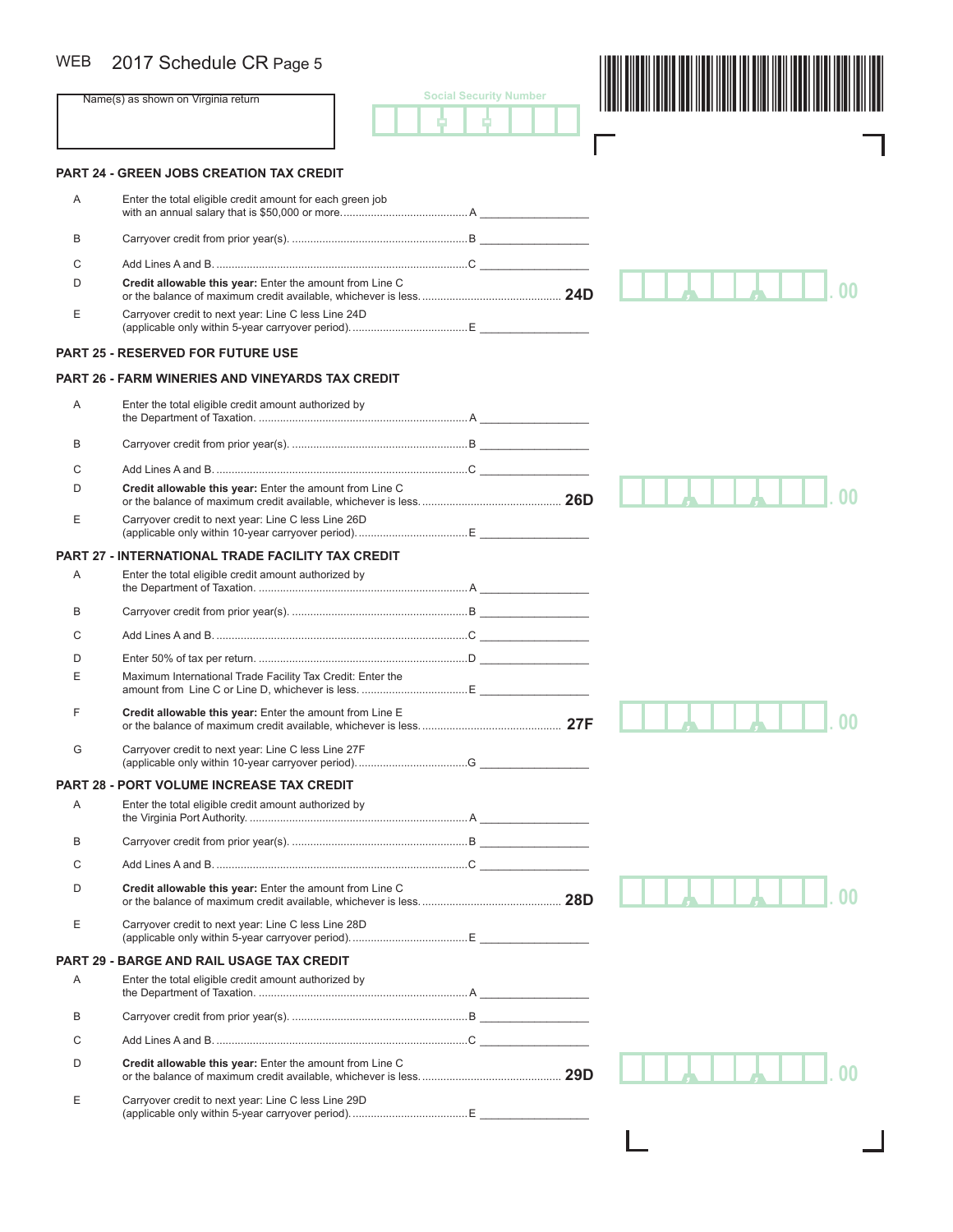## WEB 2017 Schedule CR Page 5

| <b>WEB</b>     | 2017 Schedule CR Page 5                                    |                               |  |
|----------------|------------------------------------------------------------|-------------------------------|--|
|                | Name(s) as shown on Virginia return                        | <b>Social Security Number</b> |  |
|                | <b>PART 24 - GREEN JOBS CREATION TAX CREDIT</b>            |                               |  |
| Α              | Enter the total eligible credit amount for each green job  |                               |  |
| В              |                                                            |                               |  |
| C              |                                                            |                               |  |
| D              | Credit allowable this year: Enter the amount from Line C   |                               |  |
| Ε              | Carryover credit to next year: Line C less Line 24D        |                               |  |
|                | <b>PART 25 - RESERVED FOR FUTURE USE</b>                   |                               |  |
|                | <b>PART 26 - FARM WINERIES AND VINEYARDS TAX CREDIT</b>    |                               |  |
| Α              | Enter the total eligible credit amount authorized by       |                               |  |
| В              |                                                            |                               |  |
| С              |                                                            |                               |  |
| D              | Credit allowable this year: Enter the amount from Line C   |                               |  |
| Ε              | Carryover credit to next year: Line C less Line 26D        |                               |  |
| <b>PART 27</b> | - INTERNATIONAL TRADE FACILITY TAX CREDIT                  |                               |  |
| Α              | Enter the total eligible credit amount authorized by       |                               |  |
| В              |                                                            |                               |  |
| C              |                                                            |                               |  |
| D              |                                                            |                               |  |
| Ε              | Maximum International Trade Facility Tax Credit: Enter the |                               |  |
| F              | Credit allowable this year: Enter the amount from Line E   |                               |  |
| G              | Carryover credit to next year: Line C less Line 27F        |                               |  |
|                | <b>PART 28 - PORT VOLUME INCREASE TAX CREDIT</b>           |                               |  |
| Α              | Enter the total eligible credit amount authorized by       |                               |  |
| В              |                                                            |                               |  |
| С              |                                                            |                               |  |
| D              | Credit allowable this year: Enter the amount from Line C   |                               |  |
| Ε              | Carryover credit to next year: Line C less Line 28D        |                               |  |
| <b>PART 29</b> | <b>BARGE AND RAIL USAGE TAX CREDIT</b>                     |                               |  |
| Α              | Enter the total eligible credit amount authorized by       |                               |  |
| B              |                                                            |                               |  |
| С              |                                                            |                               |  |
| D              | Credit allowable this year: Enter the amount from Line C   |                               |  |
| Ε              | Carryover credit to next year: Line C less Line 29D        |                               |  |

ட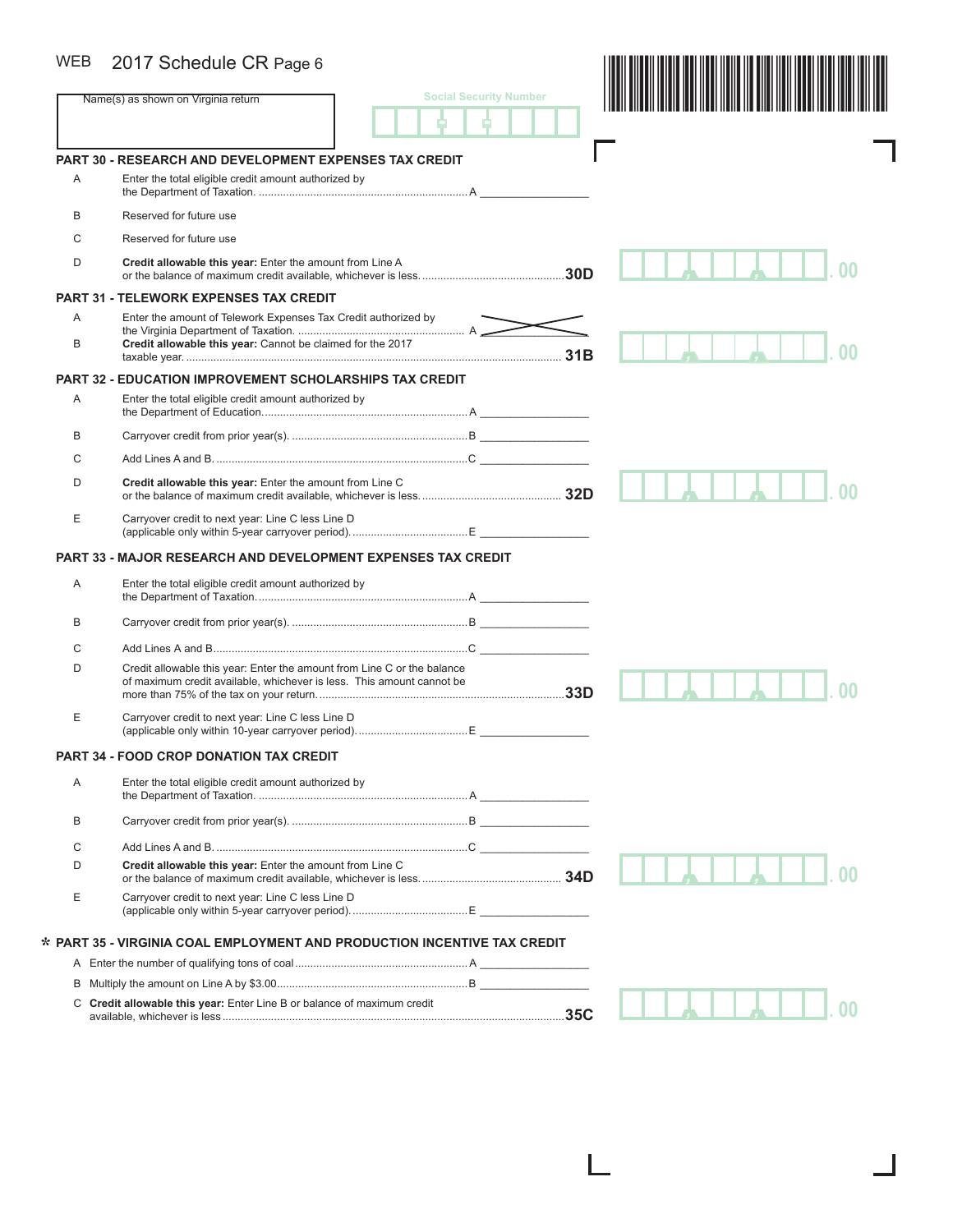### WEB 2017 Schedule CR Page 6

|   | 2017 Schedule CR Page 6                                                                                                                          |                               |  |
|---|--------------------------------------------------------------------------------------------------------------------------------------------------|-------------------------------|--|
|   | Name(s) as shown on Virginia return                                                                                                              | <b>Social Security Number</b> |  |
|   |                                                                                                                                                  |                               |  |
|   | PART 30 - RESEARCH AND DEVELOPMENT EXPENSES TAX CREDIT                                                                                           |                               |  |
| Α | Enter the total eligible credit amount authorized by                                                                                             |                               |  |
| B | Reserved for future use                                                                                                                          |                               |  |
| C | Reserved for future use                                                                                                                          |                               |  |
| D | Credit allowable this year: Enter the amount from Line A                                                                                         |                               |  |
|   | <b>PART 31 - TELEWORK EXPENSES TAX CREDIT</b>                                                                                                    |                               |  |
| A | Enter the amount of Telework Expenses Tax Credit authorized by                                                                                   |                               |  |
| B | Credit allowable this year: Cannot be claimed for the 2017                                                                                       | 31B                           |  |
|   | PART 32 - EDUCATION IMPROVEMENT SCHOLARSHIPS TAX CREDIT                                                                                          |                               |  |
| Α | Enter the total eligible credit amount authorized by                                                                                             |                               |  |
| В |                                                                                                                                                  |                               |  |
| C |                                                                                                                                                  |                               |  |
| D | Credit allowable this year: Enter the amount from Line C                                                                                         |                               |  |
| Ε | Carryover credit to next year: Line C less Line D                                                                                                |                               |  |
|   | <b>PART 33 - MAJOR RESEARCH AND DEVELOPMENT EXPENSES TAX CREDIT</b>                                                                              |                               |  |
|   |                                                                                                                                                  |                               |  |
| Α | Enter the total eligible credit amount authorized by                                                                                             |                               |  |
|   |                                                                                                                                                  |                               |  |
| В |                                                                                                                                                  |                               |  |
| C |                                                                                                                                                  |                               |  |
| D | Credit allowable this year: Enter the amount from Line C or the balance<br>of maximum credit available, whichever is less. This amount cannot be |                               |  |
| Ε | Carryover credit to next year: Line C less Line D                                                                                                |                               |  |
|   | <b>PART 34 - FOOD CROP DONATION TAX CREDIT</b>                                                                                                   |                               |  |
| Α | Enter the total eligible credit amount authorized by                                                                                             |                               |  |
| B |                                                                                                                                                  |                               |  |
| C |                                                                                                                                                  |                               |  |
| D | Credit allowable this year: Enter the amount from Line C                                                                                         |                               |  |
| Ε | Carryover credit to next year: Line C less Line D                                                                                                |                               |  |
|   | * PART 35 - VIRGINIA COAL EMPLOYMENT AND PRODUCTION INCENTIVE TAX CREDIT                                                                         |                               |  |
|   |                                                                                                                                                  |                               |  |
|   |                                                                                                                                                  |                               |  |

L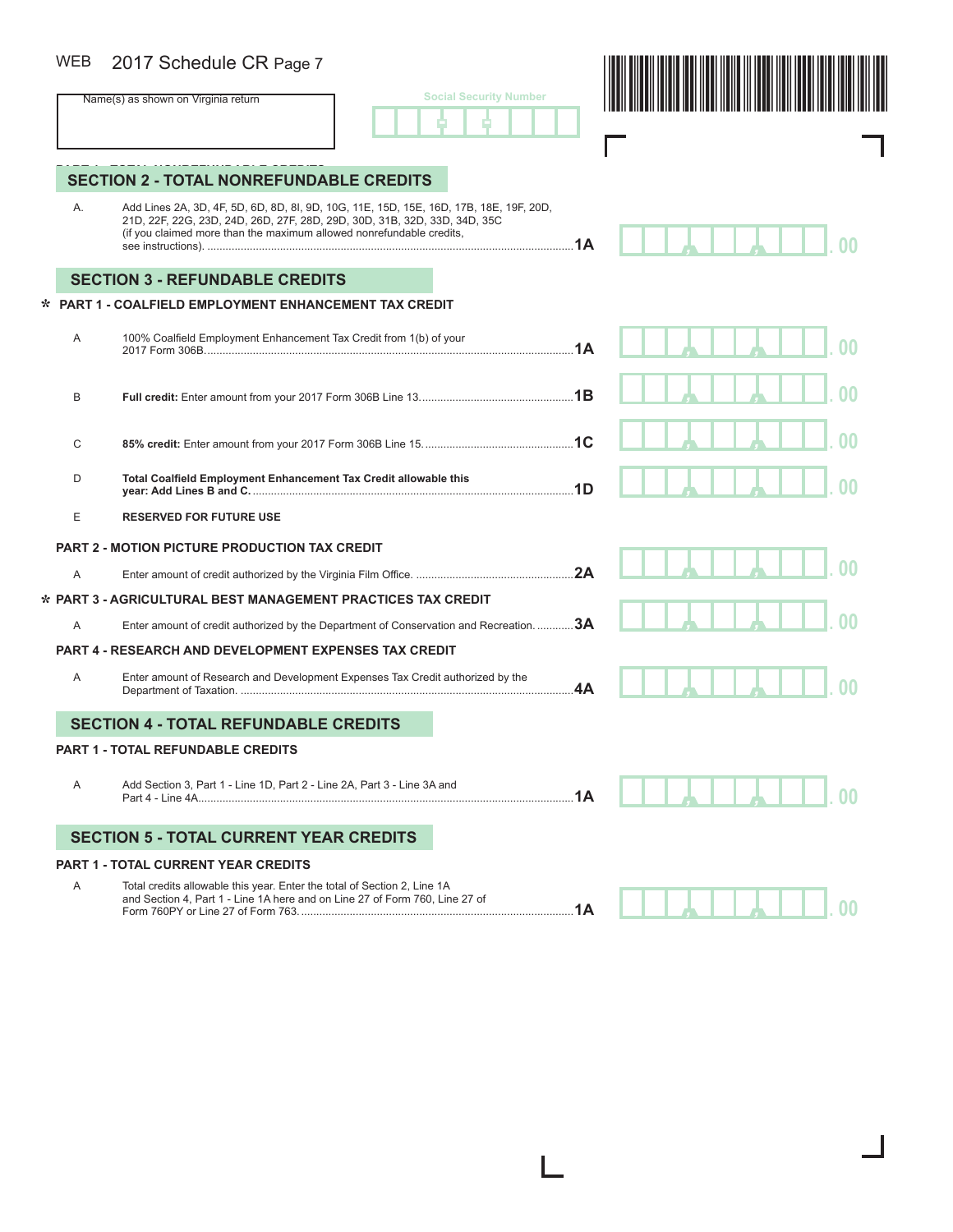#### 2017 Schedule CR Page 7 WEB

|  | <b>Social Security Number</b> |  |
|--|-------------------------------|--|
|  |                               |  |



Г

*, ,* **. 00**

L

# **SECTION 2 - TOTAL NONREFUNDABLE CREDITS**

A. Add Lines 2A, 3D, 4F, 5D, 6D, 8D, 8I, 9D, 10G, 11E, 15D, 15E, 16D, 17B, 18E, 19F, 20D, 21D, 22F, 22G, 23D, 24D, 26D, 27F, 28D, 29D, 30D, 31B, 32D, 33D, 34D, 35C (if you claimed more than the maximum allowed nonrefundable credits, see instructions). .........................................................................................................................**1A**

### **SECTION 3 - REFUNDABLE CREDITS**

### **PART 1 - COALFIELD EMPLOYMENT ENHANCEMENT TAX CREDIT \***

| A | 100% Coalfield Employment Enhancement Tax Credit from 1(b) of your                                                                                     |    |  |  |
|---|--------------------------------------------------------------------------------------------------------------------------------------------------------|----|--|--|
| B |                                                                                                                                                        |    |  |  |
| C |                                                                                                                                                        |    |  |  |
| D | Total Coalfield Employment Enhancement Tax Credit allowable this                                                                                       |    |  |  |
| E | <b>RESERVED FOR FUTURE USE</b>                                                                                                                         |    |  |  |
|   | <b>PART 2 - MOTION PICTURE PRODUCTION TAX CREDIT</b>                                                                                                   |    |  |  |
| A |                                                                                                                                                        | 2A |  |  |
|   | * PART 3 - AGRICULTURAL BEST MANAGEMENT PRACTICES TAX CREDIT                                                                                           |    |  |  |
| A | Enter amount of credit authorized by the Department of Conservation and Recreation. 3A                                                                 |    |  |  |
|   | <b>PART 4 - RESEARCH AND DEVELOPMENT EXPENSES TAX CREDIT</b>                                                                                           |    |  |  |
| A | Enter amount of Research and Development Expenses Tax Credit authorized by the                                                                         | 4A |  |  |
|   | <b>SECTION 4 - TOTAL REFUNDABLE CREDITS</b>                                                                                                            |    |  |  |
|   | <b>PART 1 - TOTAL REFUNDABLE CREDITS</b>                                                                                                               |    |  |  |
| A | Add Section 3, Part 1 - Line 1D, Part 2 - Line 2A, Part 3 - Line 3A and                                                                                | 1A |  |  |
|   | <b>SECTION 5 - TOTAL CURRENT YEAR CREDITS</b>                                                                                                          |    |  |  |
|   | <b>PART 1 - TOTAL CURRENT YEAR CREDITS</b>                                                                                                             |    |  |  |
| A | Total credits allowable this year. Enter the total of Section 2, Line 1A<br>and Poetian 4, Dart 4. Line 1A berg and an Line 27 of Earm 760, Line 27 of |    |  |  |

 and Section 4, Part 1 - Line 1A here and on Line 27 of Form 760, Line 27 of Form 760PY or Line 27 of Form 763...........................................................................................**1A**

*, ,* **. 00**

ı